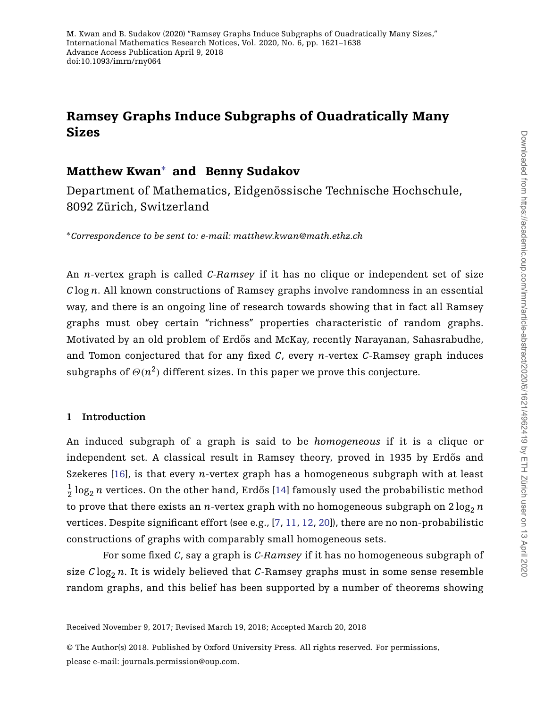# **Ramsey Graphs Induce Subgraphs of Quadratically Many Sizes**

# **Matthew Kwan**<sup>∗</sup> **and Benny Sudakov**

Department of Mathematics, Eidgenössische Technische Hochschule, 8092 Zürich, Switzerland

<sup>∗</sup>*Correspondence to be sent to: e-mail: matthew.kwan@math.ethz.ch*

An *n*-vertex graph is called *C-Ramsey* if it has no clique or independent set of size *C* log *n*. All known constructions of Ramsey graphs involve randomness in an essential way, and there is an ongoing line of research towards showing that in fact all Ramsey graphs must obey certain "richness" properties characteristic of random graphs. Motivated by an old problem of Erdős and McKay, recently Narayanan, Sahasrabudhe, and Tomon conjectured that for any fixed *C*, every *n*-vertex *C*-Ramsey graph induces subgraphs of  $\Theta(n^2)$  different sizes. In this paper we prove this conjecture.

## **1 Introduction**

An induced subgraph of a graph is said to be *homogeneous* if it is a clique or independent set. A classical result in Ramsey theory, proved in 1935 by Erdős and Szekeres [\[16\]](#page-17-0), is that every *n*-vertex graph has a homogeneous subgraph with at least  $\frac{1}{2} \log_2 n$  vertices. On the other hand, Erdős [[14\]](#page-16-0) famously used the probabilistic method to prove that there exists an *n*-vertex graph with no homogeneous subgraph on  $2\log_2 n$ vertices. Despite significant effort (see e.g., [\[7,](#page-16-1) [11,](#page-16-2) [12,](#page-16-3) [20\]](#page-17-1)), there are no non-probabilistic constructions of graphs with comparably small homogeneous sets.

For some fixed *C*, say a graph is *C-Ramsey* if it has no homogeneous subgraph of size  $C \log_2 n$ . It is widely believed that *C*-Ramsey graphs must in some sense resemble random graphs, and this belief has been supported by a number of theorems showing

Received November 9, 2017; Revised March 19, 2018; Accepted March 20, 2018

© The Author(s) 2018. Published by Oxford University Press. All rights reserved. For permissions, please e-mail: journals.permission@oup.com.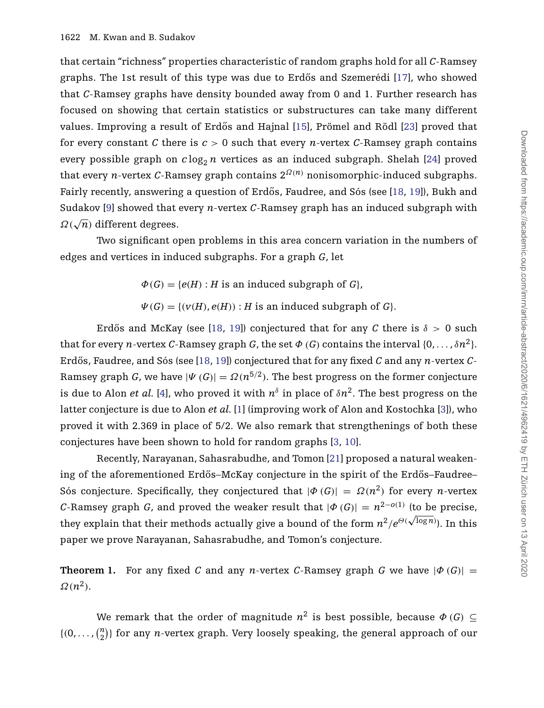that certain "richness" properties characteristic of random graphs hold for all *C*-Ramsey graphs. The 1st result of this type was due to Erdős and Szemerédi [[17\]](#page-17-2), who showed that *C*-Ramsey graphs have density bounded away from 0 and 1. Further research has focused on showing that certain statistics or substructures can take many different values. Improving a result of Erdős and Hajnal [[15\]](#page-16-4), Prömel and Rödl [\[23\]](#page-17-3) proved that for every constant *C* there is  $c > 0$  such that every *n*-vertex *C*-Ramsey graph contains every possible graph on  $c \log_2 n$  vertices as an induced subgraph. Shelah [\[24\]](#page-17-4) proved that every *n*-vertex *C*-Ramsey graph contains  $2^{\Omega(n)}$  nonisomorphic-induced subgraphs. Fairly recently, answering a question of Erdős, Faudree, and Sós (see [[18,](#page-17-5) [19\]](#page-17-6)), Bukh and Sudakov [\[9\]](#page-16-5) showed that every *n*-vertex *C*-Ramsey graph has an induced subgraph with *Ω(*√*n)* different degrees.

Two significant open problems in this area concern variation in the numbers of edges and vertices in induced subgraphs. For a graph *G*, let

- $\Phi(G) = \{e(H) : H$  is an induced subgraph of *G*,
- $\Psi(G) = \{ (v(H), e(H)) : H \text{ is an induced subgraph of } G \}.$

Erdős and McKay (see [[18,](#page-17-5) [19\]](#page-17-6)) conjectured that for any *C* there is  $\delta > 0$  such that for every *n*-vertex *C*-Ramsey graph *G*, the set  $\Phi$  (*G*) contains the interval  $\{0, \ldots, \delta n^2\}$ . Erdős, Faudree, and Sós (see [[18,](#page-17-5) [19\]](#page-17-6)) conjectured that for any fixed *C* and any *n*-vertex *C*-Ramsey graph *G*, we have  $|\Psi(G)| = \Omega(n^{5/2})$ . The best progress on the former conjecture is due to Alon *et al.* [\[4\]](#page-16-6), who proved it with  $n^{\delta}$  in place of  $\delta n^2$ . The best progress on the latter conjecture is due to Alon *et al.* [\[1\]](#page-16-7) (improving work of Alon and Kostochka [\[3\]](#page-16-8)), who proved it with 2.369 in place of 5/2. We also remark that strengthenings of both these conjectures have been shown to hold for random graphs [\[3,](#page-16-8) [10\]](#page-16-9).

Recently, Narayanan, Sahasrabudhe, and Tomon [\[21\]](#page-17-7) proposed a natural weakening of the aforementioned Erdős–McKay conjecture in the spirit of the Erdős–Faudree– Sós conjecture. Specifically, they conjectured that  $|\Phi(G)| = \Omega(n^2)$  for every *n*-vertex *C*-Ramsey graph *G*, and proved the weaker result that  $|\phi(G)| = n^{2-o(1)}$  (to be precise, they explain that their methods actually give a bound of the form  $n^2/e^{\Theta(\sqrt{\log n}})$ . In this paper we prove Narayanan, Sahasrabudhe, and Tomon's conjecture.

<span id="page-1-0"></span>**Theorem 1.** For any fixed *C* and any *n*-vertex *C*-Ramsey graph *G* we have  $|\Phi(G)| =$  $\Omega(n^2)$ .

We remark that the order of magnitude  $n^2$  is best possible, because  $\Phi(G) \subseteq$  $\{(0, \ldots, \binom{n}{2})\}$  $\binom{n}{2}$ } for any *n*-vertex graph. Very loosely speaking, the general approach of our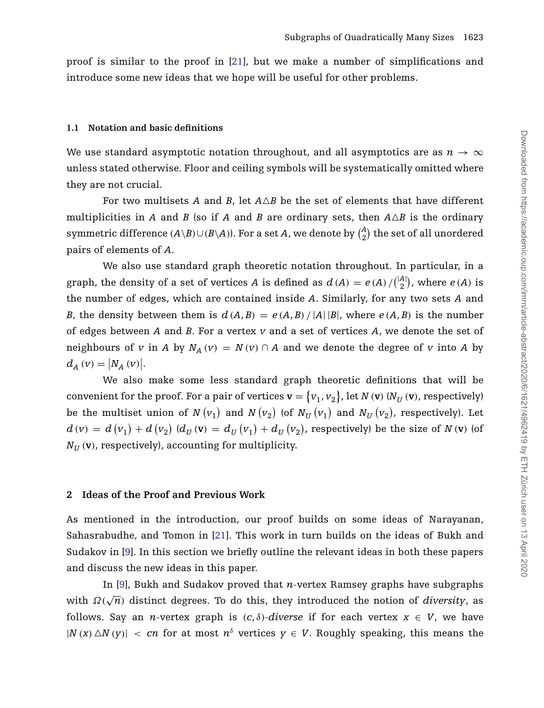<span id="page-2-1"></span>proof is similar to the proof in [\[21\]](#page-17-7), but we make a number of simplifications and introduce some new ideas that we hope will be useful for other problems.

#### **1.1 Notation and basic definitions**

We use standard asymptotic notation throughout, and all asymptotics are as  $n \to \infty$ unless stated otherwise. Floor and ceiling symbols will be systematically omitted where they are not crucial.

For two multisets *A* and *B*, let *AB* be the set of elements that have different multiplicities in *A* and *B* (so if *A* and *B* are ordinary sets, then  $A \triangle B$  is the ordinary symmetric difference  $(A \setminus B) \cup (B \setminus A)$ ). For a set  $A$ , we denote by  $\binom{A}{2}$  $\binom{A}{2}$  the set of all unordered pairs of elements of *A*.

We also use standard graph theoretic notation throughout. In particular, in a graph, the density of a set of vertices *A* is defined as  $d(A) = e(A)/\binom{|A|}{2}$  $\binom{A}{2}$ , where  $e(A)$  is the number of edges, which are contained inside *A*. Similarly, for any two sets *A* and *B*, the density between them is  $d(A, B) = e(A, B) / |A||B|$ , where  $e(A, B)$  is the number of edges between *A* and *B*. For a vertex *v* and a set of vertices *A*, we denote the set of neighbours of *v* in *A* by  $N_A$   $(v) = N(v) \cap A$  and we denote the degree of *v* into *A* by  $d_A (v) = |N_A (v)|.$ 

We also make some less standard graph theoretic definitions that will be convenient for the proof. For a pair of vertices  $\mathbf{v} = \{v_1, v_2\}$ , let  $N(\mathbf{v})$   $(N_U(\mathbf{v})$ , respectively) be the multiset union of  $N\left(v_{1}\right)$  and  $N\left(v_{2}\right)$  (of  $N_{U}\left(v_{1}\right)$  and  $N_{U}\left(v_{2}\right)$ , respectively). Let  $d\left(v\right)\,=\,d\left(v_{1}\right)+d\left(v_{2}\right)\,\left(d_{U}\left(\mathbf{v}\right)\,=\,d_{U}\left(v_{1}\right)+d_{U}\left(v_{2}\right)\right.$  respectively) be the size of  $N\left(\mathbf{v}\right)$  (of  $N_U$  (**v**), respectively), accounting for multiplicity.

#### <span id="page-2-0"></span>**2 Ideas of the Proof and Previous Work**

As mentioned in the introduction, our proof builds on some ideas of Narayanan, Sahasrabudhe, and Tomon in [\[21\]](#page-17-7). This work in turn builds on the ideas of Bukh and Sudakov in [\[9\]](#page-16-5). In this section we briefly outline the relevant ideas in both these papers and discuss the new ideas in this paper.

In [\[9\]](#page-16-5), Bukh and Sudakov proved that *n*-vertex Ramsey graphs have subgraphs with  $\Omega(\sqrt{n})$  distinct degrees. To do this, they introduced the notion of *diversity*, as follows. Say an *n*-vertex graph is  $(c, \delta)$ -diverse if for each vertex  $x \in V$ , we have  $|N(x) \triangle N(v)| < cn$  for at most  $n^{\delta}$  vertices  $v \in V$ . Roughly speaking, this means the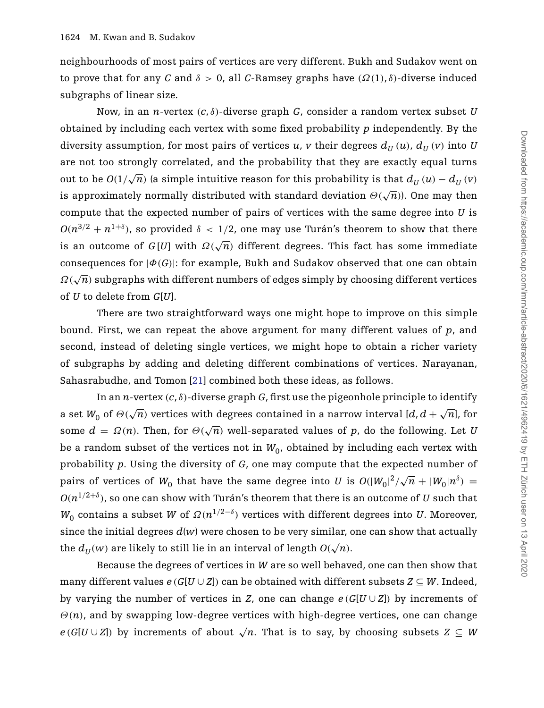neighbourhoods of most pairs of vertices are very different. Bukh and Sudakov went on to prove that for any *C* and  $\delta > 0$ , all *C*-Ramsey graphs have  $(\Omega(1), \delta)$ -diverse induced subgraphs of linear size.

Now, in an *n*-vertex *(c*, *δ)*-diverse graph *G*, consider a random vertex subset *U* obtained by including each vertex with some fixed probability *p* independently. By the diversity assumption, for most pairs of vertices *u*, *v* their degrees  $d_{\text{II}}(u)$ ,  $d_{\text{II}}(v)$  into *U* are not too strongly correlated, and the probability that they are exactly equal turns out to be  $O(1/\sqrt{n})$  (a simple intuitive reason for this probability is that  $d_U(u) - d_U(v)$ is approximately normally distributed with standard deviation  $\Theta(\sqrt{n})$ ). One may then compute that the expected number of pairs of vertices with the same degree into *U* is  $O(n^{3/2} + n^{1+\delta})$ , so provided  $\delta < 1/2$ , one may use Turán's theorem to show that there is an outcome of  $G[U]$  with  $\Omega(\sqrt{n})$  different degrees. This fact has some immediate consequences for  $|\phi(G)|$ : for example, Bukh and Sudakov observed that one can obtain *Ω(*√*n)* subgraphs with different numbers of edges simply by choosing different vertices of *U* to delete from *G*[*U*].

There are two straightforward ways one might hope to improve on this simple bound. First, we can repeat the above argument for many different values of *p*, and second, instead of deleting single vertices, we might hope to obtain a richer variety of subgraphs by adding and deleting different combinations of vertices. Narayanan, Sahasrabudhe, and Tomon [\[21\]](#page-17-7) combined both these ideas, as follows.

In an *n*-vertex  $(c, \delta)$ -diverse graph *G*, first use the pigeonhole principle to identify a set  $W_0$  of  $\Theta(\sqrt{n})$  vertices with degrees contained in a narrow interval  $[d, d + \sqrt{n}]$ , for some  $d = \Omega(n)$ . Then, for  $\Theta(\sqrt{n})$  well-separated values of p, do the following. Let U be a random subset of the vertices not in  $W_0$ , obtained by including each vertex with probability *p*. Using the diversity of *G*, one may compute that the expected number of pairs of vertices of  $W_0$  that have the same degree into *U* is  $O(|W_0|^2/\sqrt{n} + |W_0|n^{\delta}) =$  $O(n^{1/2+\delta})$ , so one can show with Turán's theorem that there is an outcome of *U* such that *W*<sub>0</sub> contains a subset *W* of  $\Omega(n^{1/2-\delta})$  vertices with different degrees into *U*. Moreover, since the initial degrees  $d(w)$  were chosen to be very similar, one can show that actually the  $d_U(w)$  are likely to still lie in an interval of length  $O(\sqrt{n})$ .

Because the degrees of vertices in *W* are so well behaved, one can then show that many different values  $e(G[U \cup Z])$  can be obtained with different subsets  $Z \subseteq W$ . Indeed, by varying the number of vertices in *Z*, one can change  $e(G[U\cup Z])$  by increments of *Θ(n)*, and by swapping low-degree vertices with high-degree vertices, one can change  $e(G[U \cup Z])$  by increments of about  $\sqrt{n}$ . That is to say, by choosing subsets  $Z \subseteq W$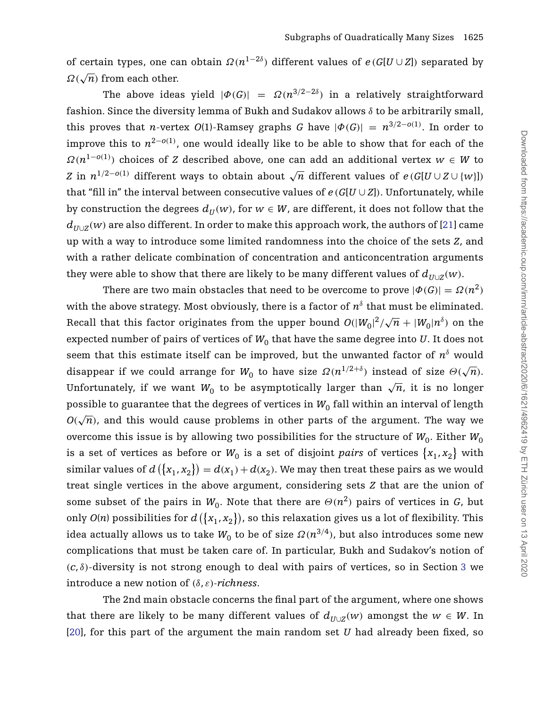of certain types, one can obtain  $\Omega(n^{1-2\delta})$  different values of  $e(G[U\cup Z])$  separated by *Ω(*√*n)* from each other.

The above ideas yield  $|\Phi(G)| = \Omega(n^{3/2-2\delta})$  in a relatively straightforward fashion. Since the diversity lemma of Bukh and Sudakov allows *δ* to be arbitrarily small, this proves that *n*-vertex *O*(1)-Ramsey graphs *G* have  $|\Phi(G)| = n^{3/2 - o(1)}$ . In order to improve this to *n*2−*o(*1*)* , one would ideally like to be able to show that for each of the *Ω(n*1−*o(*1*) )* choices of *Z* described above, one can add an additional vertex *w* ∈ *W* to *Z* in  $n^{1/2-o(1)}$  different ways to obtain about  $\sqrt{n}$  different values of  $e(G[U \cup Z \cup \{w\}])$ that "fill in" the interval between consecutive values of  $e(G[U\cup Z])$ . Unfortunately, while by construction the degrees  $d_U(w)$ , for  $w \in W$ , are different, it does not follow that the  $d_{U\cup Z}(w)$  are also different. In order to make this approach work, the authors of [\[21\]](#page-17-7) came up with a way to introduce some limited randomness into the choice of the sets *Z*, and with a rather delicate combination of concentration and anticoncentration arguments they were able to show that there are likely to be many different values of  $d_{U\cup Z}(w)$ .

There are two main obstacles that need to be overcome to prove  $|\phi(G)| = \Omega(n^2)$ with the above strategy. Most obviously, there is a factor of  $n^{\delta}$  that must be eliminated. Recall that this factor originates from the upper bound  $O(|W_0|^2/\sqrt{n} + |W_0|n^{\delta})$  on the expected number of pairs of vertices of  $W_0$  that have the same degree into  $U$ . It does not seem that this estimate itself can be improved, but the unwanted factor of  $n<sup>δ</sup>$  would disappear if we could arrange for  $W_0$  to have size  $\Omega(n^{1/2+\delta})$  instead of size  $\Theta(\sqrt{n})$ . Unfortunately, if we want  $W_0$  to be asymptotically larger than  $\sqrt{n}$ , it is no longer possible to guarantee that the degrees of vertices in  $W_0$  fall within an interval of length  $O(\sqrt{n})$ , and this would cause problems in other parts of the argument. The way we overcome this issue is by allowing two possibilities for the structure of  $W_0$ . Either  $W_0$ is a set of vertices as before or  $W_0$  is a set of disjoint *pairs* of vertices  $\{x_1, x_2\}$  with similar values of  $d\left(\lbrace x_{1}, x_{2} \rbrace\right) = d(x_{1}) + d(x_{2}).$  We may then treat these pairs as we would treat single vertices in the above argument, considering sets *Z* that are the union of some subset of the pairs in  $W_0$ . Note that there are  $\Theta(n^2)$  pairs of vertices in *G*, but only  $O(n)$  possibilities for  $d(\lbrace x_{1}, x_{2} \rbrace)$ , so this relaxation gives us a lot of flexibility. This idea actually allows us to take  $W_0$  to be of size  $\Omega(n^{3/4})$ , but also introduces some new complications that must be taken care of. In particular, Bukh and Sudakov's notion of  $(c, \delta)$ -diversity is not strong enough to deal with pairs of vertices, so in Section [3](#page-5-0) we introduce a new notion of *(δ*, *ε)-richness*.

The 2nd main obstacle concerns the final part of the argument, where one shows that there are likely to be many different values of  $d_{U\cup Z}(w)$  amongst the  $w \in W$ . In [\[20\]](#page-17-1), for this part of the argument the main random set *U* had already been fixed, so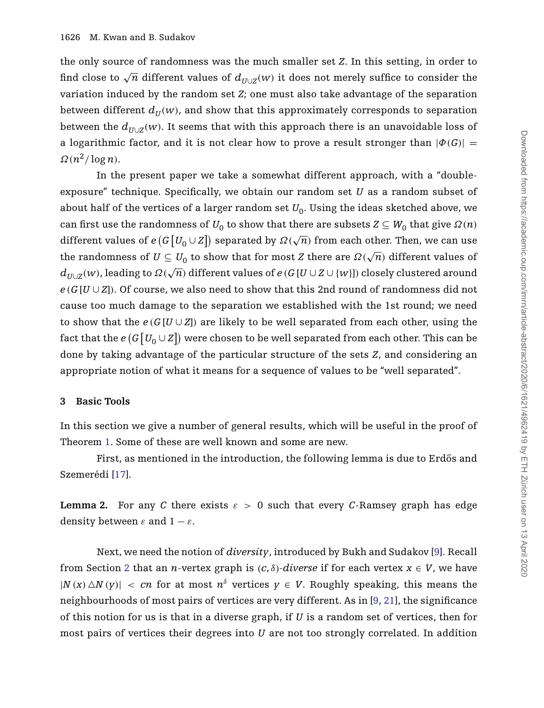the only source of randomness was the much smaller set *Z*. In this setting, in order to find close to  $\sqrt{n}$  different values of  $d_{U\cup Z}(w)$  it does not merely suffice to consider the variation induced by the random set *Z*; one must also take advantage of the separation between different  $d_{\mathcal{U}}(w)$ , and show that this approximately corresponds to separation between the  $d_{U\cup Z}(w)$ . It seems that with this approach there is an unavoidable loss of a logarithmic factor, and it is not clear how to prove a result stronger than  $|\Phi(G)| =$  $\Omega(n^2/\log n)$ .

In the present paper we take a somewhat different approach, with a "doubleexposure" technique. Specifically, we obtain our random set *U* as a random subset of about half of the vertices of a larger random set  $U_0$ . Using the ideas sketched above, we can first use the randomness of  $U_0$  to show that there are subsets  $Z \subseteq W_0$  that give  $\Omega(n)$ different values of  $e(G[U_0\cup Z])$  separated by  $\Omega(\sqrt{n})$  from each other. Then, we can use the randomness of  $U \subseteq U_0$  to show that for most *Z* there are  $\Omega(\sqrt{n})$  different values of  $d_{I_{I\cup I}(W)}$ , leading to  $\Omega(\sqrt{n})$  different values of *e* (*G* [*U* ∪ *Z* ∪ {*w*}]) closely clustered around  $e(G[U\cup Z])$ . Of course, we also need to show that this 2nd round of randomness did not cause too much damage to the separation we established with the 1st round; we need to show that the  $e(G[U\cup Z])$  are likely to be well separated from each other, using the fact that the  $e\left(G\left[U_0 \cup Z\right]\right)$  were chosen to be well separated from each other. This can be done by taking advantage of the particular structure of the sets *Z*, and considering an appropriate notion of what it means for a sequence of values to be "well separated".

#### <span id="page-5-0"></span>**3 Basic Tools**

In this section we give a number of general results, which will be useful in the proof of Theorem [1.](#page-1-0) Some of these are well known and some are new.

First, as mentioned in the introduction, the following lemma is due to Erdős and Szemerédi [\[17\]](#page-17-2).

<span id="page-5-1"></span>**Lemma 2.** For any C there exists  $\varepsilon > 0$  such that every C-Ramsey graph has edge density between  $\varepsilon$  and  $1 - \varepsilon$ .

Next, we need the notion of *diversity*, introduced by Bukh and Sudakov [\[9\]](#page-16-5). Recall from Section [2](#page-2-0) that an *n*-vertex graph is  $(c, \delta)$ -diverse if for each vertex  $x \in V$ , we have  $|N(x) \triangle N(y)|$  *< cn* for at most  $n^{\delta}$  vertices  $y \in V$ . Roughly speaking, this means the neighbourhoods of most pairs of vertices are very different. As in [\[9,](#page-16-5) [21\]](#page-17-7), the significance of this notion for us is that in a diverse graph, if *U* is a random set of vertices, then for most pairs of vertices their degrees into *U* are not too strongly correlated. In addition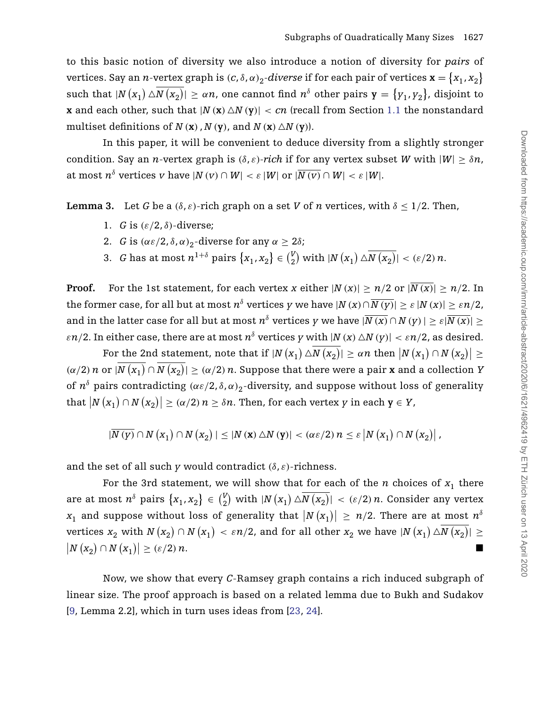to this basic notion of diversity we also introduce a notion of diversity for *pairs* of vertices. Say an *n*-vertex graph is  $(c, \delta, \alpha)_2$ -div*erse* if for each pair of vertices  $\mathbf{x} = \big\{x_1, x_2\big\}$  $\text{such that } |N(x_1) \triangle N(x_2)| \ge \alpha n$ , one cannot find  $n^{\delta}$  other pairs  $\mathbf{y} = \{y_1, y_2\}$ , disjoint to **x** and each other, such that  $|N(\mathbf{x}) \triangle N(\mathbf{y})| < cn$  (recall from Section [1.1](#page-2-1) the nonstandard multiset definitions of  $N(\mathbf{x})$ ,  $N(\mathbf{y})$ , and  $N(\mathbf{x}) \triangle N(\mathbf{y})$ .

In this paper, it will be convenient to deduce diversity from a slightly stronger condition. Say an *n*-vertex graph is  $(\delta, \varepsilon)$ -rich if for any vertex subset *W* with  $|W| > \delta n$ , at most  $n^{\delta}$  vertices *v* have  $|N(v) \cap W| < \varepsilon |W|$  or  $|\overline{N(v)} \cap W| < \varepsilon |W|$ .

<span id="page-6-0"></span>**Lemma 3.** Let *G* be a  $(\delta, \varepsilon)$ -rich graph on a set *V* of *n* vertices, with  $\delta \leq 1/2$ . Then,

- 1. *G* is *(ε/*2, *δ)*-diverse;
- 2. *G* is  $(\alpha \varepsilon/2, \delta, \alpha)_2$ -diverse for any  $\alpha \geq 2\delta$ ;
- 3. *G* has at most  $n^{1+\delta}$  pairs  $\{x_1, x_2\} \in \binom{V}{2}$  $\binom{V}{2}$  with  $|N(x_1) \triangle N(x_2)| < (\varepsilon/2) n$ .

**Proof.** For the 1st statement, for each vertex *x* either  $|N(x)| \ge n/2$  or  $|\overline{N(x)}| \ge n/2$ . In the former case, for all but at most  $n^{\delta}$  vertices y we have  $|N(x) \cap \overline{N(y)}| > \varepsilon |N(x)| > \varepsilon n/2$ , and in the latter case for all but at most  $n^{\delta}$  vertices *y* we have  $|\overline{N(x)} \cap N(y)| > \varepsilon |\overline{N(x)}| >$ *ε* $n/2$ . In either case, there are at most  $n^{\delta}$  vertices *y* with  $|N(x) \triangle N(y)| < \varepsilon n/2$ , as desired.

For the 2nd statement, note that if  $|N(x_1) \triangle N(x_2)| \ge \alpha n$  then  $|N(x_1) \cap N(x_2)| \ge$  $\alpha$  *(α/2) n* or  $|N(x_1) \cap N(x_2)| \geq (\alpha/2) n$ . Suppose that there were a pair **x** and a collection *Y* of  $n^{\delta}$  pairs contradicting  $(\alpha \varepsilon/2, \delta, \alpha)_2$ -diversity, and suppose without loss of generality  $\text{that } |N(x_1) \cap N(x_2)| \geq (\alpha/2) n \geq \delta n. \text{ Then, for each vertex } y \text{ in each } y \in Y,$ 

$$
|\overline{N(y)}\cap N(x_1)\cap N(x_2)|\leq |N(x)\triangle N(y)|<(\alpha\epsilon/2)n\leq \epsilon |N(x_1)\cap N(x_2)|,
$$

and the set of all such *y* would contradict  $(\delta, \varepsilon)$ -richness.

For the 3rd statement, we will show that for each of the *n* choices of  $x_1$  there are at most  $n^{\delta}$  pairs  $\{x_1, x_2\} \in {V_2 \choose 2}$  $\binom{V}{2}$  with  $|N(x_1) \triangle N(x_2)| < (\varepsilon/2) n$ . Consider any vertex  $x_1$  and suppose without loss of generality that  $\big|N\left(x_1\right)\big| \,\ge\, n/2.$  There are at most  $n^\delta$  $\text{vertices } x_2 \text{ with } N\left(x_2\right) \cap N\left(x_1\right) \, < \, \varepsilon n/2 \text{, and for all other } x_2 \text{ we have } |N\left(x_1\right) \triangle N\left(x_2\right)| \, \geq \, 1$  $|N(x_2) \cap N(x_1)|$  $\geq (\varepsilon/2) n.$ 

Now, we show that every *C*-Ramsey graph contains a rich induced subgraph of linear size. The proof approach is based on a related lemma due to Bukh and Sudakov [\[9,](#page-16-5) Lemma 2.2], which in turn uses ideas from [\[23,](#page-17-3) [24\]](#page-17-4).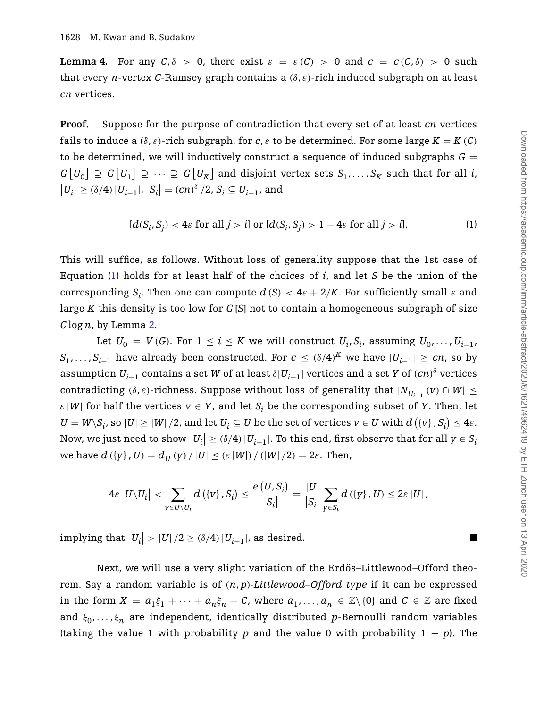<span id="page-7-1"></span>**Lemma 4.** For any  $C, \delta > 0$ , there exist  $\varepsilon = \varepsilon(C) > 0$  and  $c = c(C, \delta) > 0$  such that every *n*-vertex *C*-Ramsey graph contains a *(δ*, *ε)*-rich induced subgraph on at least *cn* vertices.

**Proof.** Suppose for the purpose of contradiction that every set of at least *cn* vertices fails to induce a  $(\delta, \varepsilon)$ -rich subgraph, for  $c, \varepsilon$  to be determined. For some large  $K = K(C)$ to be determined, we will inductively construct a sequence of induced subgraphs  $G =$  $G[U_0] \supseteq G[U_1] \supseteq \cdots \supseteq G[U_K]$  and disjoint vertex sets  $S_1, \ldots, S_K$  such that for all *i*,  $|U_i|$  ≥ (δ/4) | $U_{i-1}$ |,  $|S_i|$  =  $(cn)^{\delta}/2$ ,  $S_i$  ⊆  $U_{i-1}$ , and

<span id="page-7-0"></span>
$$
[d(S_i, S_j) < 4\varepsilon \text{ for all } j > i] \text{ or } [d(S_i, S_j) > 1 - 4\varepsilon \text{ for all } j > i]. \tag{1}
$$

This will suffice, as follows. Without loss of generality suppose that the 1st case of Equation [\(1\)](#page-7-0) holds for at least half of the choices of *i*, and let *S* be the union of the corresponding *S<sub>i</sub>*. Then one can compute  $d(S) < 4\varepsilon + 2/K$ . For sufficiently small  $\varepsilon$  and large *K* this density is too low for *G* [*S*] not to contain a homogeneous subgraph of size *C* log*n*, by Lemma [2.](#page-5-1)

Let  $U_0 = V(G)$ . For  $1 \leq i \leq K$  we will construct  $U_i, S_i$ , assuming  $U_0, \ldots, U_{i-1}$ , *S*<sub>1</sub>, *...* , *S*<sub>*i*−1</sub> have already been constructed. For *c* ≤  $(δ/4)<sup>K</sup>$  we have  $|U_{i-1}| ≥ cn$ , so by  $a$ ssumption  $U_{i-1}$  contains a set  $W$  of at least  $\delta|U_{i-1}|$  vertices and a set  $Y$  of  $(cn)^{\delta}$  vertices contradicting  $(\delta, \varepsilon)$ -richness. Suppose without loss of generality that  $|N_{U_{i-1}}(v) \cap W| \leq$ *ε* |*W*| for half the vertices  $v \in Y$ , and let  $S_i$  be the corresponding subset of *Y*. Then, let  $U = W \setminus S_i$ , so  $|U| \geq |W|/2$ , and let  $U_i \subseteq U$  be the set of vertices  $v \in U$  with  $d\left(\{v\},S_i\right) \leq 4\varepsilon.$ Now, we just need to show  $|U_i| \ge (\delta/4) |U_{i-1}|$ . To this end, first observe that for all  $y \in S_i$  $w$ **e** have  $d$  ({ $y$ },  $U$ ) =  $d_U(y) / |U| \leq (e |W|) / (|W|/2) = 2e$ . Then,

$$
4\varepsilon |U\setminus U_i| < \sum_{v\in U\setminus U_i} d\left(\{v\}, S_i\right) \leq \frac{e\left(U, S_i\right)}{\left|S_i\right|} = \frac{|U|}{\left|S_i\right|} \sum_{y\in S_i} d\left(\{y\}, U\right) \leq 2\varepsilon |U|,
$$

 $\text{Simplify that } |U_i| > |U|/2 \ge (\delta/4) |U_{i-1}|$ , as desired.

Next, we will use a very slight variation of the Erdős-Littlewood-Offord theorem. Say a random variable is of *(n*, *p)-Littlewood–Offord type* if it can be expressed in the form  $X = a_1 \xi_1 + \cdots + a_n \xi_n + C$ , where  $a_1, \ldots, a_n \in \mathbb{Z} \setminus \{0\}$  and  $C \in \mathbb{Z}$  are fixed and *ξ*0, *...* , *ξ<sup>n</sup>* are independent, identically distributed *p*-Bernoulli random variables (taking the value 1 with probability *p* and the value 0 with probability  $1 - p$ ). The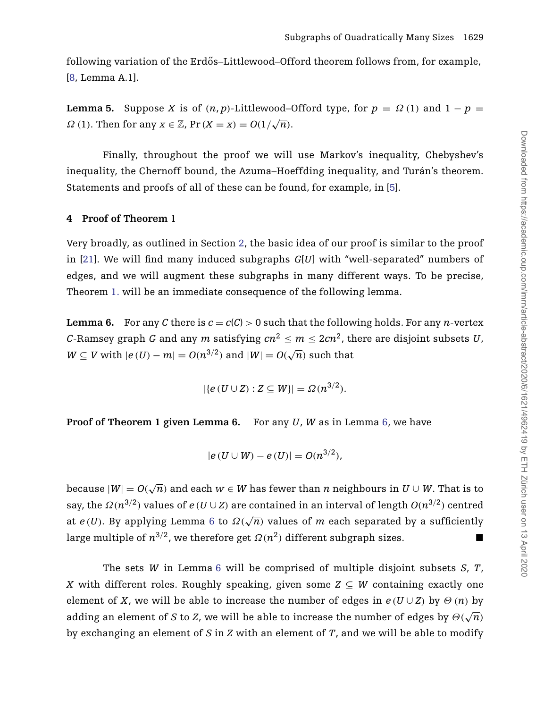following variation of the Erdős–Littlewood–Offord theorem follows from, for example, [\[8,](#page-16-10) Lemma A.1].

<span id="page-8-1"></span>**Lemma 5.** Suppose *X* is of  $(n, p)$ -Littlewood–Offord type, for  $p = \Omega(1)$  and  $1 - p =$ *Ω* (1). Then for any  $x \in \mathbb{Z}$ , Pr  $(X = x) = O(1/\sqrt{n})$ .

Finally, throughout the proof we will use Markov's inequality, Chebyshev's inequality, the Chernoff bound, the Azuma–Hoeffding inequality, and Turán's theorem. Statements and proofs of all of these can be found, for example, in [\[5\]](#page-16-11).

## **4 Proof of Theorem 1**

Very broadly, as outlined in Section [2,](#page-2-0) the basic idea of our proof is similar to the proof in [\[21\]](#page-17-7). We will find many induced subgraphs *G*[*U*] with "well-separated" numbers of edges, and we will augment these subgraphs in many different ways. To be precise, Theorem [1.](#page-1-0) will be an immediate consequence of the following lemma.

<span id="page-8-0"></span>**Lemma 6.** For any *C* there is  $c = c(C) > 0$  such that the following holds. For any *n*-vertex *C*-Ramsey graph *G* and any *m* satisfying  $cn^2 \le m \le 2cn^2$ , there are disjoint subsets *U*, *W* ⊆ *V* with  $|e(U) - m| = O(n^{3/2})$  and  $|W| = O(\sqrt{n})$  such that

$$
|\{e(U\cup Z):Z\subseteq W\}|=\Omega(n^{3/2}).
$$

**Proof of Theorem 1 given Lemma 6.** For any *U*, *W* as in Lemma [6,](#page-8-0) we have

$$
|e(U \cup W) - e(U)| = O(n^{3/2}),
$$

 $\text{because} \; |W| = O(\sqrt{n})$  and each  $w \in W$  has fewer than  $n$  neighbours in  $U \cup W.$  That is to say, the  $\Omega(n^{3/2})$  values of  $e(U \cup Z)$  are contained in an interval of length  $O(n^{3/2})$  centred at  $e(U)$ . By applying Lemma [6](#page-8-0) to  $\Omega(\sqrt{n})$  values of *m* each separated by a sufficiently large multiple of  $n^{3/2}$ , we therefore get  $\Omega(n^2)$  different subgraph sizes. ■

The sets *W* in Lemma [6](#page-8-0) will be comprised of multiple disjoint subsets *S*, *T*, *X* with different roles. Roughly speaking, given some  $Z \subseteq W$  containing exactly one element of *X*, we will be able to increase the number of edges in  $e(U \cup Z)$  by  $\Theta(n)$  by adding an element of *S* to *Z*, we will be able to increase the number of edges by  $\Theta(\sqrt{n})$ by exchanging an element of *S* in *Z* with an element of *T*, and we will be able to modify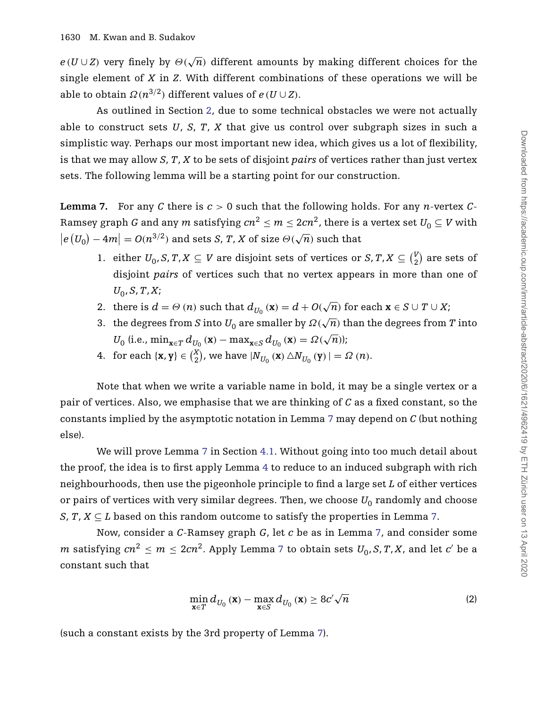$e(U \cup Z)$  very finely by  $\Theta(\sqrt{n})$  different amounts by making different choices for the single element of *X* in *Z*. With different combinations of these operations we will be able to obtain *Ω*(*n*<sup>3/2</sup>)</sub> different values of *e* (*U* ∪ *Z*).

As outlined in Section [2,](#page-2-0) due to some technical obstacles we were not actually able to construct sets *U*, *S*, *T*, *X* that give us control over subgraph sizes in such a simplistic way. Perhaps our most important new idea, which gives us a lot of flexibility, is that we may allow *S*, *T*, *X* to be sets of disjoint *pairs* of vertices rather than just vertex sets. The following lemma will be a starting point for our construction.

<span id="page-9-0"></span>**Lemma 7.** For any C there is  $c > 0$  such that the following holds. For any *n*-vertex C-Ramsey graph *G* and any *m* satisfying  $cn^2 \le m \le 2cn^2$ , there is a vertex set  $U_0 \subseteq V$  with  $|e(U_0) - 4m| = O(n^{3/2})$  and sets *S*, *T*, *X* of size  $\Theta(\sqrt{n})$  such that

- 1. either  $U_0$ , *S*,  $T$ ,  $X \subseteq V$  are disjoint sets of vertices or *S*,  $T$ ,  $X \subseteq V_2$  $\binom{v}{2}$  are sets of disjoint *pairs* of vertices such that no vertex appears in more than one of *U*0, *S*, *T*,*X*;
- 2. there is  $d = \Theta(n)$  such that  $d_{U_0}(\mathbf{x}) = d + O(\sqrt{n})$  for each  $\mathbf{x} \in S \cup T \cup X$ ;
- 3. the degrees from *S* into  $U_0$  are smaller by  $\Omega(\sqrt{n})$  than the degrees from *T* into  $U_0$  (i.e.,  $\min_{\mathbf{x} \in T} d_{U_0}(\mathbf{x}) - \max_{\mathbf{x} \in S} d_{U_0}(\mathbf{x}) = \Omega(\sqrt{n})$ );
- 4. for each  $\{x, y\} \in \binom{X}{2}$  $\binom{X}{2}$ , we have  $|N_{U_0}(\mathbf{x}) \triangle N_{U_0}(\mathbf{y})| = \Omega(n)$ .

Note that when we write a variable name in bold, it may be a single vertex or a pair of vertices. Also, we emphasise that we are thinking of *C* as a fixed constant, so the constants implied by the asymptotic notation in Lemma [7](#page-9-0) may depend on *C* (but nothing else).

We will prove Lemma [7](#page-9-0) in Section [4.1.](#page-11-0) Without going into too much detail about the proof, the idea is to first apply Lemma [4](#page-7-1) to reduce to an induced subgraph with rich neighbourhoods, then use the pigeonhole principle to find a large set *L* of either vertices or pairs of vertices with very similar degrees. Then, we choose  $U_0$  randomly and choose *S*, *T*, *X*  $\subseteq$  *L* based on this random outcome to satisfy the properties in Lemma [7.](#page-9-0)

Now, consider a *C*-Ramsey graph *G*, let *c* be as in Lemma [7,](#page-9-0) and consider some *m* satisfying  $cn^2 \le m \le 2cn^2$ . Apply Lemma [7](#page-9-0) to obtain sets  $U_0$ , *S*, *T*, *X*, and let *c'* be a constant such that

<span id="page-9-1"></span>
$$
\min_{\mathbf{x}\in T} d_{U_0}(\mathbf{x}) - \max_{\mathbf{x}\in S} d_{U_0}(\mathbf{x}) \ge 8c'\sqrt{n}
$$
\n(2)

(such a constant exists by the 3rd property of Lemma [7\)](#page-9-0).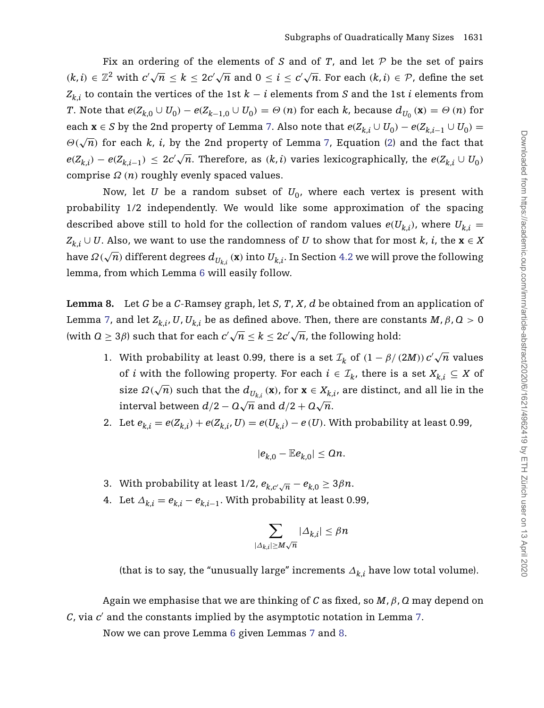Fix an ordering of the elements of  $S$  and of  $T$ , and let  $P$  be the set of pairs *(k, i)* ∈  $\mathbb{Z}^2$  with  $c' \sqrt{n} \le k \le 2c' \sqrt{n}$  and  $0 \le i \le c' \sqrt{n}$ . For each  $(k, i) \in \mathcal{P}$ , define the set  $Z_{k,i}$  to contain the vertices of the 1st  $k - i$  elements from *S* and the 1st *i* elements from *T*. Note that  $e(Z_{k,0} \cup U_0) - e(Z_{k-1,0} \cup U_0) = \Theta(n)$  for each k, because  $d_{U_0}(\mathbf{x}) = \Theta(n)$  for each  $\mathbf{x} \in S$  by the 2nd property of Lemma [7.](#page-9-0) Also note that  $e(Z_{k,i} \cup U_0) - e(Z_{k,i-1} \cup U_0) =$  $\Theta(\sqrt{n})$  for each *k*, *i*, by the 2nd property of Lemma [7,](#page-9-0) Equation [\(2\)](#page-9-1) and the fact that  $e(Z_{k,i}) - e(Z_{k,i-1}) \leq 2c' \sqrt{n}$ . Therefore, as  $(k,i)$  varies lexicographically, the  $e(Z_{k,i} \cup U_0)$ comprise *Ω (n)* roughly evenly spaced values.

Now, let *U* be a random subset of  $U_0$ , where each vertex is present with probability 1/2 independently. We would like some approximation of the spacing described above still to hold for the collection of random values  $e(U_{k,i})$ , where  $U_{k,i}$  = *Z*<sub>*k*,*i*</sub> ∪ *U*. Also, we want to use the randomness of *U* to show that for most *k*, *i*, the **x** ∈ *X* have  $\Omega(\sqrt{n})$  different degrees  $d_{U_k}$ , (x) into  $U_{k,i}$ . In Section [4.2](#page-13-0) we will prove the following lemma, from which Lemma [6](#page-8-0) will easily follow.

<span id="page-10-0"></span>**Lemma 8.** Let *G* be a *C*-Ramsey graph, let *S*, *T*, *X*, *d* be obtained from an application of Lemma [7,](#page-9-0) and let  $Z_{k,i}$ , *U*,  $U_{k,i}$  be as defined above. Then, there are constants *M*, *β*, *Q* > 0 (with  $Q \geq 3\beta$ ) such that for each  $c' \sqrt{n} \leq k \leq 2c' \sqrt{n}$ , the following hold:

- 1. With probability at least 0.99, there is a set  $\mathcal{I}_k$  of  $(1 \beta/(2M)) c' \sqrt{n}$  values of *i* with the following property. For each  $i \in I_k$ , there is a set  $X_{k,i} \subseteq X$  of size  $\Omega(\sqrt{n})$  such that the  $d_{U_{k,i}}(\mathbf{x})$ , for  $\mathbf{x} \in X_{k,i}$ , are distinct, and all lie in the interval between  $d/2 - Q\sqrt{n}$  and  $d/2 + Q\sqrt{n}$ .
- 2. Let  $e_{k,i} = e(Z_{k,i}) + e(Z_{k,i}, U) = e(U_{k,i}) e(U)$ . With probability at least 0.99,

$$
|e_{k,0}-\mathbb{E}e_{k,0}|\leq \Omega n.
$$

- 3. With probability at least  $1/2$ ,  $e_{k,c}\sqrt{n} e_{k,0} \geq 3\beta n$ .
- 4. Let  $\Delta_{k,i} = e_{k,i} e_{k,i-1}$ . With probability at least 0.99,

$$
\sum_{|\varDelta_{k,i}|\geq M\sqrt{n}}|\varDelta_{k,i}|\leq \beta n
$$

(that is to say, the "unusually large" increments  $\Delta_{k,i}$  have low total volume).

Again we emphasise that we are thinking of *C* as fixed, so *M*, *β*, *Q* may depend on *C*, via *c* and the constants implied by the asymptotic notation in Lemma [7.](#page-9-0)

Now we can prove Lemma [6](#page-8-0) given Lemmas [7](#page-9-0) and [8.](#page-10-0)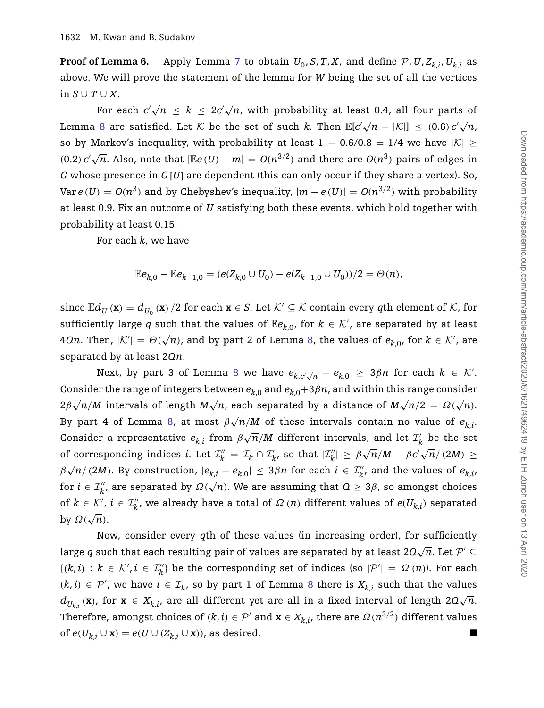**Proof of Lemma 6.** Apply Lemma [7](#page-9-0) to obtain  $U_0$ , *S*, *T*, *X*, and define  $P$ , *U*,  $Z_{k,i}$ ,  $U_{k,i}$  as above. We will prove the statement of the lemma for *W* being the set of all the vertices in *S* ∪ *T* ∪ *X*.

For each  $c'\sqrt{n}~\leq~k~\leq~2c'\sqrt{n}$ , with probability at least 0.4, all four parts of Lemma [8](#page-10-0) are satisfied. Let  $K$  be the set of such *k*. Then  $\mathbb{E}[c'\sqrt{n} - |\mathcal{K}|] \leq (0.6) c'\sqrt{n}$ , so by Markov's inequality, with probability at least 1 – 0.6/0.8 = 1/4 we have  $|K| \ge$  $(0.2) c' \sqrt{n}$ . Also, note that  $|\mathbb{E}e(U) - m| = O(n^{3/2})$  and there are  $O(n^3)$  pairs of edges in *G* whose presence in *G* [*U*] are dependent (this can only occur if they share a vertex). So, Var  $e$  (*U*) =  $O(n^3)$  and by Chebyshev's inequality,  $|m − e$  (*U*) =  $O(n^{3/2})$  with probability at least 0.9. Fix an outcome of *U* satisfying both these events, which hold together with probability at least 0.15.

For each *k*, we have

$$
\mathbb{E}e_{k,0} - \mathbb{E}e_{k-1,0} = (e(Z_{k,0} \cup U_0) - e(Z_{k-1,0} \cup U_0))/2 = \Theta(n),
$$

since  $\mathbb{E}d_U(\mathbf{x}) = d_{U_0}(\mathbf{x})/2$  for each  $\mathbf{x} \in S$ . Let  $K' \subseteq K$  contain every qth element of K, for sufficiently large *q* such that the values of  $\mathbb{E}e_{k,0}$ , for  $k \in \mathcal{K}'$ , are separated by at least 4*Qn*. Then,  $|K'| = \Theta(\sqrt{n})$ , and by part 2 of Lemma [8,](#page-10-0) the values of  $e_{k,0}$ , for  $k \in \mathcal{K}'$ , are separated by at least 2*Qn*.

Next, by part 3 of Lemma [8](#page-10-0) we have  $e_{k,c'\sqrt{n}} - e_{k,0} \geq 3\beta n$  for each  $k \in \mathcal{K}'$ . Consider the range of integers between  $e_{k,0}$  and  $e_{k,0}+3\beta n$ , and within this range consider  $2\beta\sqrt{n}/M$  intervals of length  $M\sqrt{n}$ , each separated by a distance of  $M\sqrt{n}/2 = \Omega(\sqrt{n})$ . By part 4 of Lemma [8,](#page-10-0) at most  $\beta \sqrt{n}/M$  of these intervals contain no value of  $e_{k,i}$ . Consider a representative  $e_{k,i}$  from  $\beta \sqrt{n}/M$  different intervals, and let  $\mathcal{I}'_k$  be the set of corresponding indices *i*. Let  $\mathcal{I}_k'' = \mathcal{I}_k \cap \mathcal{I}_k'$ , so that  $|\mathcal{I}_k''| \ge \beta \sqrt{n}/M - \beta c' \sqrt{n}/(2M) \ge$  $\beta\sqrt{n}/(2M)$ . By construction,  $|e_{k,i} - e_{k,0}| \leq 3\beta n$  for each  $i \in \mathcal{I}'_k$ , and the values of  $e_{k,i}$ , for  $i \in \mathcal{I}''_k$ , are separated by  $\Omega(\sqrt{n})$ . We are assuming that  $\Omega \geq 3\beta$ , so amongst choices of  $k \in \mathcal{K}'$ ,  $i \in \mathcal{I}''_k$ , we already have a total of  $\Omega(n)$  different values of  $e(U_{k,i})$  separated by *Ω(*√*n)*.

<span id="page-11-0"></span>Now, consider every *q*th of these values (in increasing order), for sufficiently large *q* such that each resulting pair of values are separated by at least 2 $\mathcal{Q}\sqrt{n}$ . Let  $\mathcal{P}'\subseteq$  ${(k, i) : k ∈ K', i ∈ \mathcal{I}'_k}$  be the corresponding set of indices (so  $|\mathcal{P}'| = \Omega(n)$ ). For each  $(k, i)$  ∈  $\mathcal{P}'$ , we have  $i \in \mathcal{I}_k$ , so by part 1 of Lemma [8](#page-10-0) there is  $X_{k,i}$  such that the values  $d_{U_{k,i}}(\mathbf{x})$ , for  $\mathbf{x} \in X_{k,i}$ , are all different yet are all in a fixed interval of length  $2Q\sqrt{n}$ . Therefore, amongst choices of  $(k, i) \in \mathcal{P}'$  and  $\mathbf{x} \in X_{k,i}$ , there are  $\Omega(n^{3/2})$  different values of  $e(U_{k,i} \cup \mathbf{x}) = e(U \cup (Z_{k,i} \cup \mathbf{x}))$ , as desired.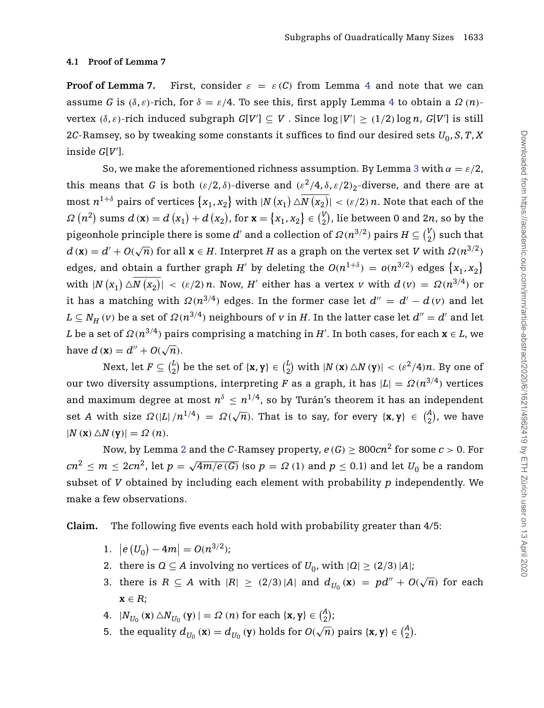## **4.1 Proof of Lemma 7**

**Proof of Lemma 7.** First, consider  $\varepsilon = \varepsilon(C)$  from Lemma [4](#page-7-1) and note that we can assume *G* is  $(\delta, \varepsilon)$ -rich, for  $\delta = \varepsilon/4$  $\delta = \varepsilon/4$ . To see this, first apply Lemma 4 to obtain a *Ω* (*n*)vertex  $(\delta, \varepsilon)$ -rich induced subgraph  $G[V'] \subseteq V$ . Since  $\log |V'| \ge (1/2) \log n$ ,  $G[V']$  is still 2*C*-Ramsey, so by tweaking some constants it suffices to find our desired sets  $U_0$ , *S*, *T*, *X* inside *G*[*V* ].

So, we make the aforementioned richness assumption. By Lemma [3](#page-6-0) with  $\alpha = \varepsilon/2$ , this means that *G* is both  $(\varepsilon/2, \delta)$ -diverse and  $(\varepsilon^2/4, \delta, \varepsilon/2)_2$ -diverse, and there are at  ${\max_n}$   $n^{1+\delta}$  pairs of vertices  $\{x_1, x_2\}$  with  $|N\left(x_1\right) \triangle N\left(x_2\right)| < (\varepsilon/2)\, n.$  Note that each of the  $\Omega(n^2)$  sums  $d(\mathbf{x}) = d(x_1) + d(x_2)$ , for  $\mathbf{x} = \{x_1, x_2\} \in \binom{V}{2}$  $\binom{V}{2}$ , lie between 0 and 2*n*, so by the pigeonhole principle there is some  $d'$  and a collection of  $\varOmega(n^{3/2})$  pairs  $H\subseteq\binom{V}{2}$  $\binom{v}{2}$  such that  $d$  (**x**) =  $d' + O(\sqrt{n})$  for all **x** ∈ *H*. Interpret *H* as a graph on the vertex set *V* with  $\Omega(n^{3/2})$ edges, and obtain a further graph *H'* by deleting the  $O(n^{1+\delta}) = o(n^{3/2})$  edges  $\{x_1, x_2\}$  $x_1$   $\forall$   $N(x_1)$   $\triangle N(x_2)$  | < ( $\varepsilon/2$ ) *n*. Now, *H'* either has a vertex *v* with  $d(v) = \Omega(n^{3/4})$  or it has a matching with  $\Omega(n^{3/4})$  edges. In the former case let  $d'' = d' - d(v)$  and let  $L \subseteq N_H$  *(v)* be a set of  $\Omega(n^{3/4})$  neighbours of *v* in *H*. In the latter case let  $d'' = d'$  and let *L* be a set of *Ω(n*3*/*4*)* pairs comprising a matching in *H* . In both cases, for each **x** ∈ *L*, we have  $d$  (**x**) =  $d'' + O(\sqrt{n})$ .

Next, let  $F \subseteq \binom{L}{2}$  $\binom{L}{2}$  be the set of  $\{x, y\} \in \binom{L}{2}$  $\binom{L}{2}$  with  $|N(\mathbf{x}) \triangle N(\mathbf{y})| < (\varepsilon^2/4)n$ . By one of our two diversity assumptions, interpreting *F* as a graph, it has  $|L| = \Omega(n^{3/4})$  vertices and maximum degree at most  $n^{\delta} \leq n^{1/4}$ , so by Turán's theorem it has an independent set *A* with size  $\Omega(|L|/n^{1/4}) = \Omega(\sqrt{n})$ . That is to say, for every  $\{x, y\} \in {A \choose 2}$  $_2^{\text{A}}$ ), we have  $|N(\mathbf{x}) \triangle N(\mathbf{y})| = \Omega(n).$ 

Now, by Lemma [2](#page-5-1) and the *C*-Ramsey property,  $e(G) > 800cn^2$  for some  $c > 0$ . For *cn*<sup>2</sup> ≤ *m* ≤ 2*cn*<sup>2</sup>, let *p* = √4*m*/*e*(*G*)</sub> (so *p* = Ω (1) and *p* ≤ 0.1) and let *U*<sub>0</sub> be a random subset of *V* obtained by including each element with probability *p* independently. We make a few observations.

**Claim.** The following five events each hold with probability greater than 4/5:

- 1.  $|e(U_0) 4m| = O(n^{3/2});$
- 2. there is  $Q \subseteq A$  involving no vertices of  $U_0$ , with  $|Q| \geq (2/3) |A|$ ;
- 3. there is  $R \subseteq A$  with  $|R| \ge (2/3)|A|$  and  $d_{U_0}(\mathbf{x}) = pd'' + O(\sqrt{n})$  for each **x** ∈ *R*;
- $4. \quad |N_{U_0}\left(\mathbf{x}\right) \bigtriangleup N_{U_0}\left(\mathbf{y}\right)| = \varOmega\left(n\right) \text{ for each } \left\{\mathbf{x},\mathbf{y}\right\} \in \binom{A}{2}$  $_{2}^{A});$
- 5. the equality  $d_{U_0}(\mathbf{x}) = d_{U_0}(\mathbf{y})$  holds for  $O(\sqrt{n})$  pairs  $\{\mathbf{x}, \mathbf{y}\} \in \binom{A}{2}$  $_{2}^{A}).$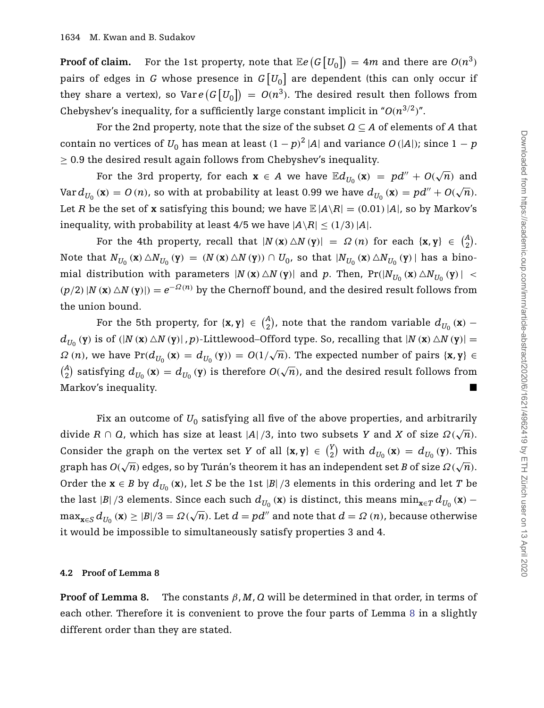**Proof of claim.** For the 1st property, note that  $\mathbb{E}e(G[U_0]) = 4m$  and there are  $O(n^3)$ pairs of edges in  $G$  whose presence in  $G\left[ {U_0 } \right]$  are dependent (this can only occur if they share a vertex), so Var  $e(G[U_0]) = O(n^3)$ . The desired result then follows from Chebyshev's inequality, for a sufficiently large constant implicit in " $O(n^{3/2})$ ".

For the 2nd property, note that the size of the subset  $Q \subseteq A$  of elements of *A* that contain no vertices of  $U_0$  has mean at least  $(1-p)^2 |A|$  and variance  $O(|A|)$ ; since  $1-p$  $\geq$  0.9 the desired result again follows from Chebyshev's inequality.

For the 3rd property, for each  $\mathbf{x} \in A$  we have  $\mathbb{E} d_{U_0}(\mathbf{x}) = pd'' + O(\sqrt{n})$  and  $Var d_{U_0}(\mathbf{x}) = O(n)$ , so with at probability at least 0.99 we have  $d_{U_0}(\mathbf{x}) = pd'' + O(\sqrt{n})$ . Let *R* be the set of **x** satisfying this bound; we have  $\mathbb{E} |A \setminus R| = (0.01) |A|$ , so by Markov's inequality, with probability at least 4/5 we have  $|A \setminus R| \le (1/3) |A|$ .

For the 4th property, recall that  $|N(\mathbf{x}) \triangle N(\mathbf{y})| = \Omega(n)$  for each  $\{\mathbf{x}, \mathbf{y}\} \in \binom{A}{2}$  $\binom{A}{2}$ . Note that  $N_{U_0}(\mathbf{x}) \triangle N_{U_0}(\mathbf{y}) = (N(\mathbf{x}) \triangle N(\mathbf{y})) \cap U_0$ , so that  $|N_{U_0}(\mathbf{x}) \triangle N_{U_0}(\mathbf{y})|$  has a binomial distribution with parameters  $|N(\mathbf{x}) \triangle N(\mathbf{y})|$  and p. Then,  $Pr(|N_{U_0}(\mathbf{x}) \triangle N_{U_0}(\mathbf{y})|$  <  $(p/2)$   $|N(\mathbf{x}) \triangle N(\mathbf{y})|$  =  $e^{-\Omega(n)}$  by the Chernoff bound, and the desired result follows from the union bound.

For the 5th property, for  $\{x, y\} \in \binom{A}{2}$  $\left( \frac{A}{2} \right)$ , note that the random variable  $d_{U_0} \left( \mathbf{x} \right)$  –  $d_{U_0}(y)$  is of  $(|N(x) \triangle N(y)|, p)$ -Littlewood-Offord type. So, recalling that  $|N(x) \triangle N(y)| =$  $\Omega(n)$ , we have Pr( $d_{U_0}(\mathbf{x}) = d_{U_0}(\mathbf{y}) = O(1/\sqrt{n})$ . The expected number of pairs { $\mathbf{x}, \mathbf{y}$ }  $\binom{A}{2}$  $\frac{d}{dx}$  satisfying  $d_{U_0}(\mathbf{x}) = d_{U_0}(\mathbf{y})$  is therefore  $O(\sqrt{n})$ , and the desired result follows from Markov's inequality.

Fix an outcome of  $U_0$  satisfying all five of the above properties, and arbitrarily divide *R* ∩ *Q*, which has size at least  $|A|/3$ , into two subsets *Y* and *X* of size  $\Omega(\sqrt{n})$ . Consider the graph on the vertex set *Y* of all  $\{x, y\} \in \binom{y}{2}$  $\binom{Y}{2}$  with  $d_{U_0}(\mathbf{x}) = d_{U_0}(\mathbf{y})$ . This  $\int_0^{\infty}$  or  $\int_0^{\infty}$  or  $\int_0^{\infty}$  or  $\int_0^{\infty}$  or  $\int_0^{\infty}$  or  $\int_0^{\infty}$ .  $\int_0^{\infty}$  or  $\int_0^{\infty}$ .  $\int_0^{\infty}$  or  $\int_0^{\infty}$ .  $\int_0^{\infty}$ .  $\int_0^{\infty}$ .  $\int_0^{\infty}$ .  $\int_0^{\infty}$ .  $\int_0^{\infty}$ .  $\int_0^{\infty}$ . Order the  $\mathbf{x} \in B$  by  $d_{U_0}(\mathbf{x})$ , let *S* be the 1st |*B*| /3 elements in this ordering and let *T* be the last |*B*| */*3 elements. Since each such  $d_{U_0}(\mathbf{x})$  is distinct, this means  $\min_{\mathbf{x} \in T} d_{U_0}(\mathbf{x})$  −  $\max_{\mathbf{x} \in S} d_{U_0}(\mathbf{x}) \geq |B|/3 = \Omega(\sqrt{n})$ . Let  $d = pd''$  and note that  $d = \Omega(n)$ , because otherwise it would be impossible to simultaneously satisfy properties 3 and 4.

#### <span id="page-13-0"></span>**4.2 Proof of Lemma 8**

**Proof of Lemma 8.** The constants  $\beta$ ,  $M$ ,  $Q$  will be determined in that order, in terms of each other. Therefore it is convenient to prove the four parts of Lemma [8](#page-10-0) in a slightly different order than they are stated.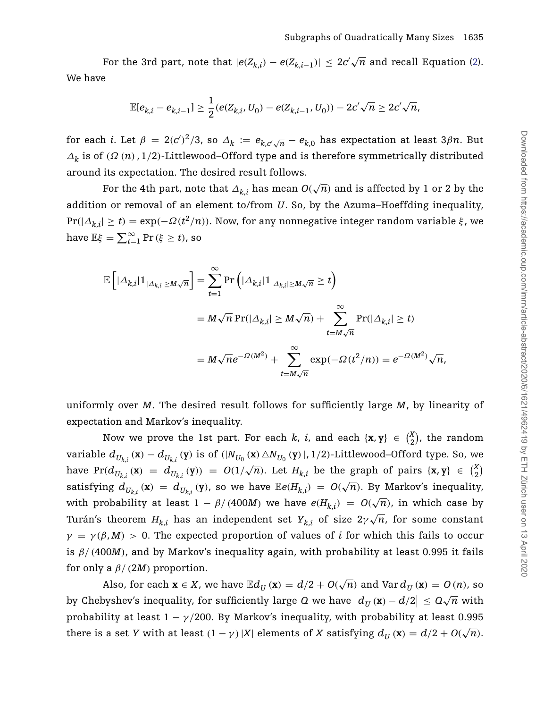For the 3rd part, note that  $|e(Z_{k,i}) - e(Z_{k,i-1})| \leq 2c'\sqrt{n}$  and recall Equation [\(2\)](#page-9-1). We have

$$
\mathbb{E}[e_{k,i}-e_{k,i-1}]\geq \frac{1}{2}(e(Z_{k,i},U_0)-e(Z_{k,i-1},U_0))-2c'\sqrt{n}\geq 2c'\sqrt{n},
$$

for each *i*. Let  $\beta = 2(c')^2/3$ , so  $\Delta_k := e_{k,c'\sqrt{n}} - e_{k,0}$  has expectation at least 3 $\beta n$ . But *Δ<sup>k</sup>* is of *(Ω (n)*, 1*/*2*)*-Littlewood–Offord type and is therefore symmetrically distributed around its expectation. The desired result follows.

For the 4th part, note that  $\Delta_{k,i}$  has mean  $O(\sqrt{n})$  and is affected by 1 or 2 by the addition or removal of an element to/from *U*. So, by the Azuma–Hoeffding inequality, Pr*(*|*Δk*,*i*| ≥ *t)* = exp*(*−*Ω(t*2*/n))*. Now, for any nonnegative integer random variable *ξ* , we have  $\mathbb{E}\xi = \sum_{t=1}^{\infty} \Pr(\xi \ge t)$ , so

$$
\mathbb{E}\left[|\Delta_{k,i}|1\!\!1_{|\Delta_{k,i}|\geq M\sqrt{n}}\right] = \sum_{t=1}^{\infty} \Pr\left(|\Delta_{k,i}|1\!\!1_{|\Delta_{k,i}|\geq M\sqrt{n}}\geq t\right)
$$
  

$$
= M\sqrt{n} \Pr(|\Delta_{k,i}| \geq M\sqrt{n}) + \sum_{t=M\sqrt{n}}^{\infty} \Pr(|\Delta_{k,i}| \geq t)
$$
  

$$
= M\sqrt{n}e^{-\Omega(M^2)} + \sum_{t=M\sqrt{n}}^{\infty} \exp(-\Omega(t^2/n)) = e^{-\Omega(M^2)}\sqrt{n},
$$

uniformly over *M*. The desired result follows for sufficiently large *M*, by linearity of expectation and Markov's inequality.

Now we prove the 1st part. For each *k*, *i*, and each  $\{x, y\} \in \binom{X}{2}$  $\binom{x}{2}$ , the random variable  $d_{U_{k,i}}(\mathbf{x}) - d_{U_{k,i}}(\mathbf{y})$  is of  $(|N_{U_0}(\mathbf{x}) \triangle N_{U_0}(\mathbf{y})|, 1/2)$ -Littlewood–Offord type. So, we have Pr( $d_{U_{k,i}}(\mathbf{x}) = d_{U_{k,i}}(\mathbf{y}) = O(1/\sqrt{n})$ . Let  $H_{k,i}$  be the graph of pairs  $\{\mathbf{x}, \mathbf{y}\} \in {X \choose 2}$  $\binom{x}{2}$ satisfying  $d_{U_{k,i}}(x) = d_{U_{k,i}}(y)$ , so we have  $\mathbb{E}e(H_{k,i}) = O(\sqrt{n})$ . By Markov's inequality, with probability at least  $1 - \beta/(400M)$  we have  $e(H_{k,i}) = O(\sqrt{n})$ , in which case by Turán's theorem  $H_{k,i}$  has an independent set  $Y_{k,i}$  of size  $2\gamma\sqrt{n}$ , for some constant  $\gamma = \gamma(\beta, M) > 0$ . The expected proportion of values of *i* for which this fails to occur is  $\beta$ / (400*M*), and by Markov's inequality again, with probability at least 0.995 it fails for only a  $\beta$ / (2*M*) proportion.

Also, for each  $\mathbf{x} \in X$ , we have  $\mathbb{E}d_U(\mathbf{x}) = d/2 + O(\sqrt{n})$  and  $\text{Var } d_U(\mathbf{x}) = O(n)$ , so by Chebyshev's inequality, for sufficiently large *Q* we have  $|d_U(\mathbf{x}) - d/2| \leq Q\sqrt{n}$  with probability at least  $1 - \gamma/200$ . By Markov's inequality, with probability at least 0.995 there is a set *Y* with at least  $(1 - \gamma) |X|$  elements of *X* satisfying  $d_U(\mathbf{x}) = d/2 + O(\sqrt{n})$ .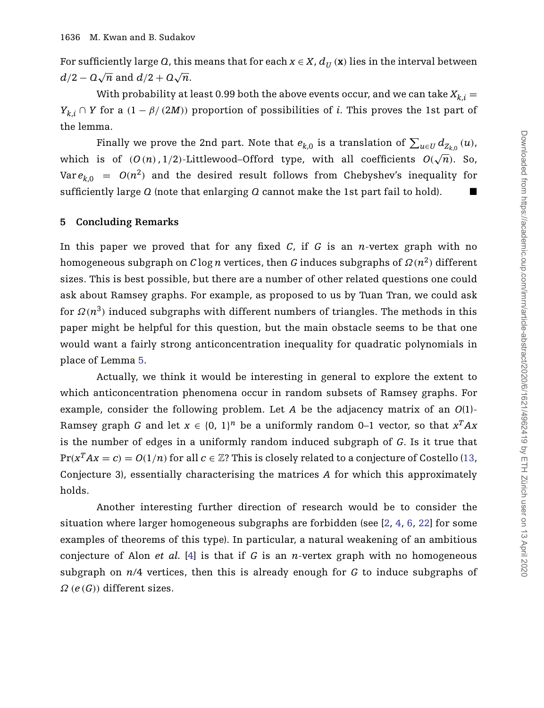For sufficiently large *Q*, this means that for each  $x \in X$ ,  $d_U(x)$  lies in the interval between  $d/2 - Q\sqrt{n}$  and  $d/2 + Q\sqrt{n}$ .

With probability at least 0.99 both the above events occur, and we can take  $X_{k,i} =$ *Y<sub>k</sub>*, ∩ *Y* for a  $(1 - \beta/(2M))$  proportion of possibilities of *i*. This proves the 1st part of the lemma.

Finally we prove the 2nd part. Note that  $e_{k,0}$  is a translation of  $\sum_{u\in U} d_{Z_{k,0}}\left(u\right)$ , which is of  $(O(n), 1/2)$ -Littlewood–Offord type, with all coefficients  $O(\sqrt{n})$ . So, Var  $e_{k,0} = O(n^2)$  and the desired result follows from Chebyshev's inequality for sufficiently large *Q* (note that enlarging *Q* cannot make the 1st part fail to hold). -

## **5 Concluding Remarks**

In this paper we proved that for any fixed *C*, if *G* is an *n*-vertex graph with no homogeneous subgraph on *C* log *n* vertices, then *G* induces subgraphs of  $\Omega(n^2)$  different sizes. This is best possible, but there are a number of other related questions one could ask about Ramsey graphs. For example, as proposed to us by Tuan Tran, we could ask for  $\Omega(n^3)$  induced subgraphs with different numbers of triangles. The methods in this paper might be helpful for this question, but the main obstacle seems to be that one would want a fairly strong anticoncentration inequality for quadratic polynomials in place of Lemma [5.](#page-8-1)

Actually, we think it would be interesting in general to explore the extent to which anticoncentration phenomena occur in random subsets of Ramsey graphs. For example, consider the following problem. Let *A* be the adjacency matrix of an *O*(1)- Ramsey graph *G* and let  $x \in \{0, 1\}^n$  be a uniformly random 0–1 vector, so that  $x^T A x$ is the number of edges in a uniformly random induced subgraph of *G*. Is it true that  $Pr(x^T A x = c) = O(1/n)$  for all  $c \in \mathbb{Z}$ ? This is closely related to a conjecture of Costello [\(13,](#page-16-12) Conjecture 3), essentially characterising the matrices *A* for which this approximately holds.

Another interesting further direction of research would be to consider the situation where larger homogeneous subgraphs are forbidden (see [\[2,](#page-16-13) [4,](#page-16-6) [6,](#page-16-14) [22\]](#page-17-8) for some examples of theorems of this type). In particular, a natural weakening of an ambitious conjecture of Alon *et al.* [\[4\]](#page-16-6) is that if *G* is an *n*-vertex graph with no homogeneous subgraph on *n*/4 vertices, then this is already enough for *G* to induce subgraphs of *Ω (e (G))* different sizes.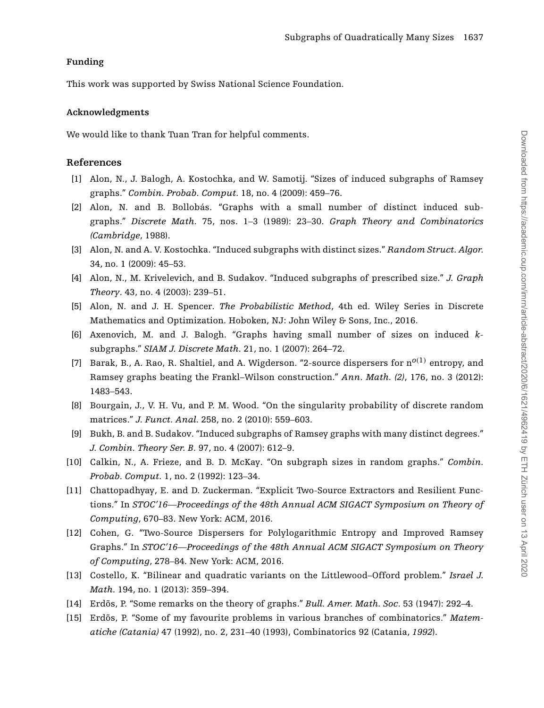# **Funding**

This work was supported by Swiss National Science Foundation.

# **Acknowledgments**

We would like to thank Tuan Tran for helpful comments.

# **References**

- <span id="page-16-7"></span>[1] Alon, N., J. Balogh, A. Kostochka, and W. Samotij. "Sizes of induced subgraphs of Ramsey graphs." *Combin. Probab. Comput.* 18, no. 4 (2009): 459–76.
- <span id="page-16-13"></span>[2] Alon, N. and B. Bollobás. "Graphs with a small number of distinct induced subgraphs." *Discrete Math*. 75, nos. 1–3 (1989): 23–30. *Graph Theory and Combinatorics (Cambridge*, 1988).
- <span id="page-16-8"></span>[3] Alon, N. and A. V. Kostochka. "Induced subgraphs with distinct sizes." *Random Struct. Algor.* 34, no. 1 (2009): 45–53.
- <span id="page-16-6"></span>[4] Alon, N., M. Krivelevich, and B. Sudakov. "Induced subgraphs of prescribed size." *J. Graph Theory.* 43, no. 4 (2003): 239–51.
- <span id="page-16-11"></span>[5] Alon, N. and J. H. Spencer. *The Probabilistic Method*, 4th ed. Wiley Series in Discrete Mathematics and Optimization. Hoboken, NJ: John Wiley & Sons, Inc., 2016.
- <span id="page-16-14"></span>[6] Axenovich, M. and J. Balogh. "Graphs having small number of sizes on induced *k*subgraphs." *SIAM J. Discrete Math*. 21, no. 1 (2007): 264–72.
- <span id="page-16-1"></span>[7] Barak, B., A. Rao, R. Shaltiel, and A. Wigderson. "2-source dispersers for n*o(*1*)* entropy, and Ramsey graphs beating the Frankl–Wilson construction." *Ann. Math. (2)*, 176, no. 3 (2012): 1483–543.
- <span id="page-16-10"></span>[8] Bourgain, J., V. H. Vu, and P. M. Wood. "On the singularity probability of discrete random matrices." *J. Funct. Anal*. 258, no. 2 (2010): 559–603.
- <span id="page-16-5"></span>[9] Bukh, B. and B. Sudakov. "Induced subgraphs of Ramsey graphs with many distinct degrees." *J. Combin. Theory Ser. B*. 97, no. 4 (2007): 612–9.
- <span id="page-16-9"></span>[10] Calkin, N., A. Frieze, and B. D. McKay. "On subgraph sizes in random graphs." *Combin. Probab. Comput.* 1, no. 2 (1992): 123–34.
- <span id="page-16-2"></span>[11] Chattopadhyay, E. and D. Zuckerman. "Explicit Two-Source Extractors and Resilient Functions." In *STOC'16—Proceedings of the 48th Annual ACM SIGACT Symposium on Theory of Computing*, 670–83. New York: ACM, 2016.
- <span id="page-16-3"></span>[12] Cohen, G. "Two-Source Dispersers for Polylogarithmic Entropy and Improved Ramsey Graphs." In *STOC'16—Proceedings of the 48th Annual ACM SIGACT Symposium on Theory of Computing*, 278–84. New York: ACM, 2016.
- <span id="page-16-12"></span>[13] Costello, K. "Bilinear and quadratic variants on the Littlewood–Offord problem." *Israel J. Math*. 194, no. 1 (2013): 359–394.
- <span id="page-16-0"></span>[14] Erdõs, P. "Some remarks on the theory of graphs." *Bull. Amer. Math. Soc*. 53 (1947): 292–4.
- <span id="page-16-4"></span>[15] Erdõs, P. "Some of my favourite problems in various branches of combinatorics." *Matematiche (Catania)* 47 (1992), no. 2, 231–40 (1993), Combinatorics 92 (Catania, *1992*).